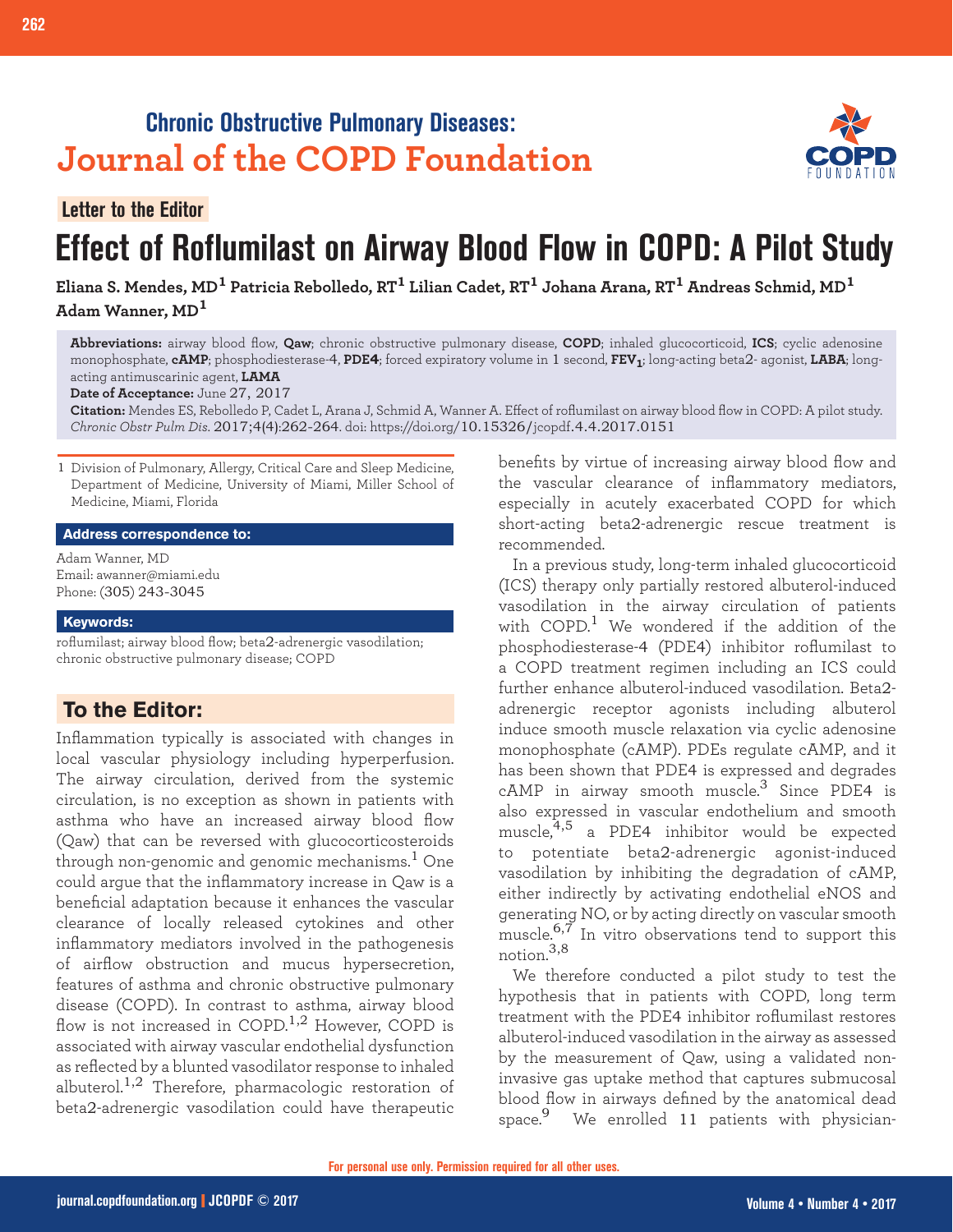# **Chronic Obstructive Pulmonary Diseases: Journal of the COPD Foundation**



# **Effect of Roflumilast on Airway Blood Flow in COPD: A Pilot Study Letter to the Editor**

**Eliana S. Mendes, MD1 Patricia Rebolledo, RT1 Lilian Cadet, RT1 Johana Arana, RT1 Andreas Schmid, MD<sup>1</sup> Adam Wanner, MD<sup>1</sup>**

**Abbreviations:** airway blood flow, **Qaw**; chronic obstructive pulmonary disease, **COPD**; inhaled glucocorticoid, **ICS**; cyclic adenosine monophosphate, **cAMP**; phosphodiesterase-4, **PDE4**; forced expiratory volume in 1 second, **FEV1**; long-acting beta2- agonist, **LABA**; longacting antimuscarinic agent, **LAMA**

**Date of Acceptance:** June 27, 2017

**Citation:** Mendes ES, Rebolledo P, Cadet L, Arana J, Schmid A, Wanner A. Effect of roflumilast on airway blood flow in COPD: A pilot study. *Chronic Obstr Pulm Dis*. 2017;4(4):262-264. doi: https://doi.org/10.15326/jcopdf.4.4.2017.0151

1 Division of Pulmonary, Allergy, Critical Care and Sleep Medicine, Department of Medicine, University of Miami, Miller School of Medicine, Miami, Florida

#### **Address correspondence to:**

Adam Wanner, MD Email: awanner@miami.edu Phone: (305) 243-3045

#### **Keywords:**

roflumilast; airway blood flow; beta2-adrenergic vasodilation; chronic obstructive pulmonary disease; COPD

### **To the Editor:**

Inflammation typically is associated with changes in local vascular physiology including hyperperfusion. The airway circulation, derived from the systemic circulation, is no exception as shown in patients with asthma who have an increased airway blood flow (Qaw) that can be reversed with glucocorticosteroids through non-genomic and genomic mechanisms.<sup>1</sup> One could argue that the inflammatory increase in Qaw is a beneficial adaptation because it enhances the vascular clearance of locally released cytokines and other inflammatory mediators involved in the pathogenesis of airflow obstruction and mucus hypersecretion, features of asthma and chronic obstructive pulmonary disease (COPD). In contrast to asthma, airway blood flow is not increased in COPD.<sup>1,2</sup> However, COPD is associated with airway vascular endothelial dysfunction as reflected by a blunted vasodilator response to inhaled albuterol.<sup>1,2</sup> Therefore, pharmacologic restoration of beta2-adrenergic vasodilation could have therapeutic

benefits by virtue of increasing airway blood flow and the vascular clearance of inflammatory mediators, especially in acutely exacerbated COPD for which short-acting beta2-adrenergic rescue treatment is recommended.

In a previous study, long-term inhaled glucocorticoid (ICS) therapy only partially restored albuterol-induced vasodilation in the airway circulation of patients with COPD.<sup>1</sup> We wondered if the addition of the phosphodiesterase-4 (PDE4) inhibitor roflumilast to a COPD treatment regimen including an ICS could further enhance albuterol-induced vasodilation. Beta2 adrenergic receptor agonists including albuterol induce smooth muscle relaxation via cyclic adenosine monophosphate (cAMP). PDEs regulate cAMP, and it has been shown that PDE4 is expressed and degrades cAMP in airway smooth muscle.<sup>3</sup> Since PDE4 is also expressed in vascular endothelium and smooth muscle,4,5 a PDE4 inhibitor would be expected to potentiate beta2-adrenergic agonist-induced vasodilation by inhibiting the degradation of cAMP, either indirectly by activating endothelial eNOS and generating NO, or by acting directly on vascular smooth muscle.<sup>6,7</sup> In vitro observations tend to support this notion.3,8

We therefore conducted a pilot study to test the hypothesis that in patients with COPD, long term treatment with the PDE4 inhibitor roflumilast restores albuterol-induced vasodilation in the airway as assessed by the measurement of Qaw, using a validated noninvasive gas uptake method that captures submucosal blood flow in airways defined by the anatomical dead space.<sup>9</sup> We enrolled 11 patients with physician-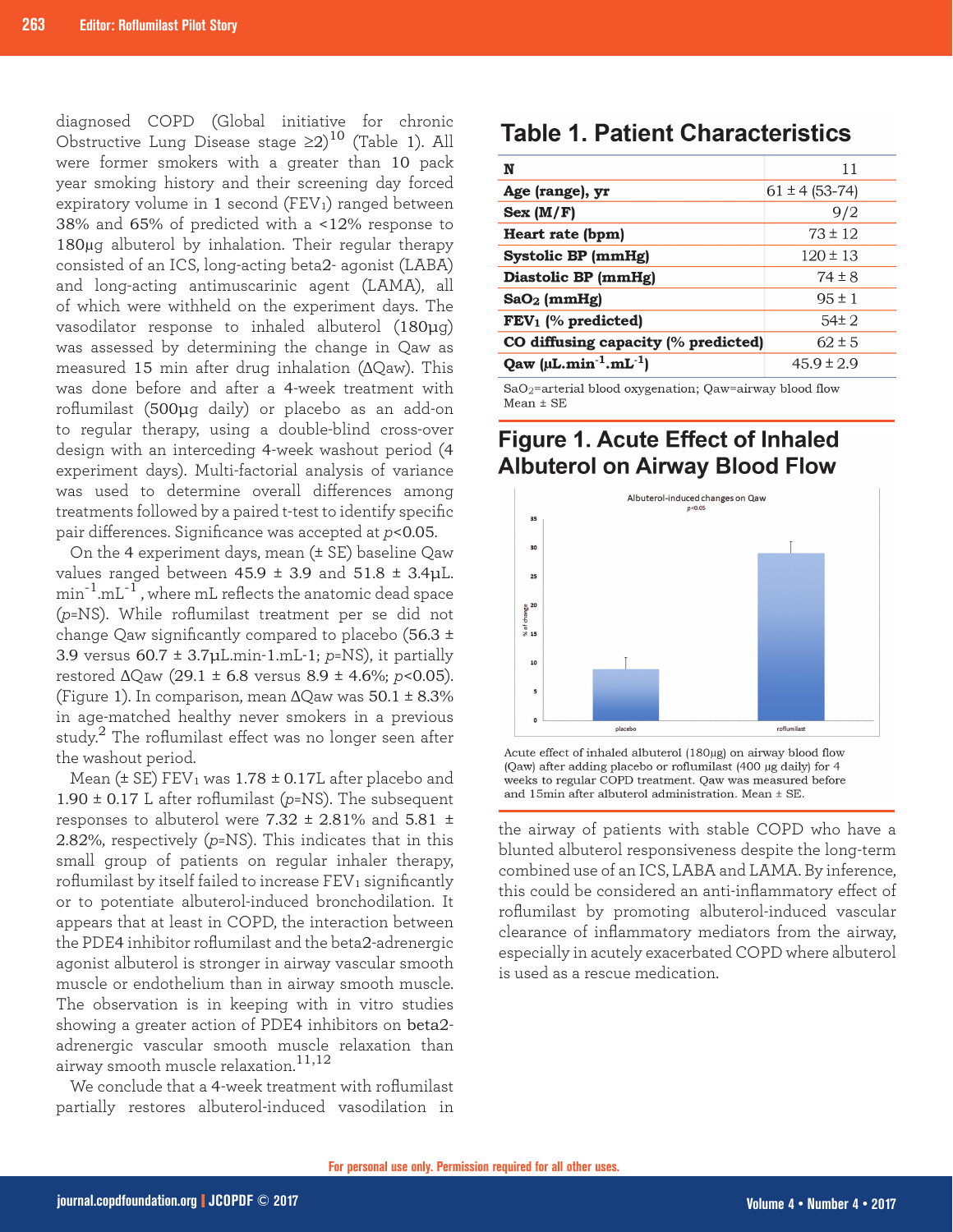diagnosed COPD (Global initiative for chronic Obstructive Lung Disease stage  $\geq 2)^{10}$  (Table 1). All were former smokers with a greater than 10 pack year smoking history and their screening day forced expiratory volume in 1 second  $(FEV_1)$  ranged between 38% and 65% of predicted with a <12% response to 180µg albuterol by inhalation. Their regular therapy consisted of an ICS, long-acting beta2- agonist (LABA) and long-acting antimuscarinic agent (LAMA), all of which were withheld on the experiment days. The vasodilator response to inhaled albuterol (180μg) was assessed by determining the change in Qaw as measured 15 min after drug inhalation (ΔQaw). This was done before and after a 4-week treatment with roflumilast (500μg daily) or placebo as an add-on to regular therapy, using a double-blind cross-over design with an interceding 4-week washout period (4 experiment days). Multi-factorial analysis of variance was used to determine overall differences among treatments followed by a paired t-test to identify specific pair differences. Significance was accepted at *p*<0.05.

On the 4 experiment days, mean (± SE) baseline Qaw values ranged between  $45.9 \pm 3.9$  and  $51.8 \pm 3.4$ μL.  $min^{-1}.mL^{-1}$ , where mL reflects the anatomic dead space (*p*=NS). While roflumilast treatment per se did not change Qaw significantly compared to placebo (56.3 ± 3.9 versus 60.7 ± 3.7μL.min-1.mL-1; *p*=NS), it partially restored ΔQaw (29.1 ± 6.8 versus 8.9 ± 4.6%; *p*<0.05). (Figure 1). In comparison, mean  $\Delta$ Qaw was  $50.1 \pm 8.3\%$ in age-matched healthy never smokers in a previous study.2 The roflumilast effect was no longer seen after the washout period.

Mean ( $\pm$  SE) FEV<sub>1</sub> was 1.78  $\pm$  0.17L after placebo and  $1.90 \pm 0.17$  L after roflumilast ( $p$ =NS). The subsequent responses to albuterol were 7.32  $\pm$  2.81% and 5.81  $\pm$ 2.82%, respectively (*p*=NS). This indicates that in this small group of patients on regular inhaler therapy, roflumilast by itself failed to increase  $FEV<sub>1</sub>$  significantly or to potentiate albuterol-induced bronchodilation. It appears that at least in COPD, the interaction between the PDE4 inhibitor roflumilast and the beta2-adrenergic agonist albuterol is stronger in airway vascular smooth muscle or endothelium than in airway smooth muscle. The observation is in keeping with in vitro studies showing a greater action of PDE4 inhibitors on beta2 adrenergic vascular smooth muscle relaxation than airway smooth muscle relaxation.<sup>11,12</sup>

We conclude that a 4-week treatment with roflumilast partially restores albuterol-induced vasodilation in

## **Table 1. Patient Characteristics**

| N                                   | 11                 |  |
|-------------------------------------|--------------------|--|
| Age (range), yr                     | $61 \pm 4$ (53-74) |  |
| Sex (M/F)                           | 9/2                |  |
| Heart rate (bpm)                    | $73 \pm 12$        |  |
| Systolic BP (mmHg)                  | $120 \pm 13$       |  |
| Diastolic BP (mmHg)                 | $74 \pm 8$         |  |
| $SaO2$ (mmHg)                       | $9.5 \pm 1$        |  |
| $FEV1$ (% predicted)                | $54\pm 2$          |  |
| CO diffusing capacity (% predicted) | $62 \pm 5$         |  |
| Qaw $(\mu L.min^{-1}.mL^{-1})$      | $45.9 \pm 2.9$     |  |

SaO<sub>2</sub>=arterial blood oxygenation; Qaw=airway blood flow  $Mean \pm SE$ 

## **Figure 1. Acute Effect of Inhaled Albuterol on Airway Blood Flow**



Acute effect of inhaled albuterol (180µg) on airway blood flow (Qaw) after adding placebo or roflumilast (400 µg daily) for 4 weeks to regular COPD treatment. Qaw was measured before and  $15$ min after albuterol administration. Mean  $\pm$  SE.

the airway of patients with stable COPD who have a blunted albuterol responsiveness despite the long-term combined use of an ICS, LABA and LAMA. By inference, this could be considered an anti-inflammatory effect of roflumilast by promoting albuterol-induced vascular clearance of inflammatory mediators from the airway, especially in acutely exacerbated COPD where albuterol is used as a rescue medication.